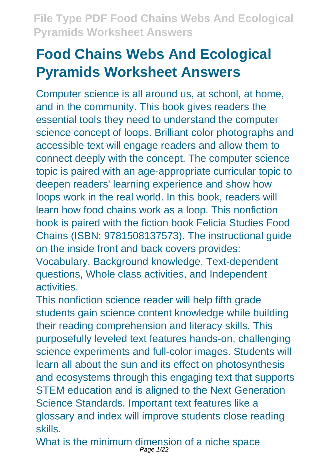# **Food Chains Webs And Ecological Pyramids Worksheet Answers**

Computer science is all around us, at school, at home, and in the community. This book gives readers the essential tools they need to understand the computer science concept of loops. Brilliant color photographs and accessible text will engage readers and allow them to connect deeply with the concept. The computer science topic is paired with an age-appropriate curricular topic to deepen readers' learning experience and show how loops work in the real world. In this book, readers will learn how food chains work as a loop. This nonfiction book is paired with the fiction book Felicia Studies Food Chains (ISBN: 9781508137573). The instructional guide on the inside front and back covers provides:

Vocabulary, Background knowledge, Text-dependent questions, Whole class activities, and Independent activities.

This nonfiction science reader will help fifth grade students gain science content knowledge while building their reading comprehension and literacy skills. This purposefully leveled text features hands-on, challenging science experiments and full-color images. Students will learn all about the sun and its effect on photosynthesis and ecosystems through this engaging text that supports STEM education and is aligned to the Next Generation Science Standards. Important text features like a glossary and index will improve students close reading skills.

What is the minimum dimension of a niche space<br>Page 1/22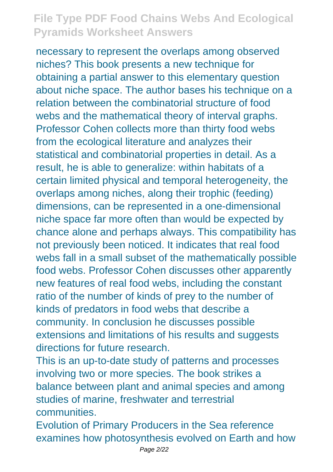necessary to represent the overlaps among observed niches? This book presents a new technique for obtaining a partial answer to this elementary question about niche space. The author bases his technique on a relation between the combinatorial structure of food webs and the mathematical theory of interval graphs. Professor Cohen collects more than thirty food webs from the ecological literature and analyzes their statistical and combinatorial properties in detail. As a result, he is able to generalize: within habitats of a certain limited physical and temporal heterogeneity, the overlaps among niches, along their trophic (feeding) dimensions, can be represented in a one-dimensional niche space far more often than would be expected by chance alone and perhaps always. This compatibility has not previously been noticed. It indicates that real food webs fall in a small subset of the mathematically possible food webs. Professor Cohen discusses other apparently new features of real food webs, including the constant ratio of the number of kinds of prey to the number of kinds of predators in food webs that describe a community. In conclusion he discusses possible extensions and limitations of his results and suggests directions for future research.

This is an up-to-date study of patterns and processes involving two or more species. The book strikes a balance between plant and animal species and among studies of marine, freshwater and terrestrial communities.

Evolution of Primary Producers in the Sea reference examines how photosynthesis evolved on Earth and how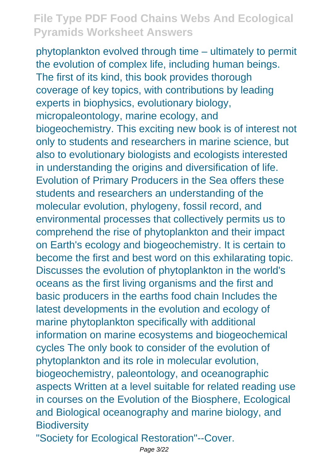phytoplankton evolved through time – ultimately to permit the evolution of complex life, including human beings. The first of its kind, this book provides thorough coverage of key topics, with contributions by leading experts in biophysics, evolutionary biology, micropaleontology, marine ecology, and biogeochemistry. This exciting new book is of interest not only to students and researchers in marine science, but also to evolutionary biologists and ecologists interested in understanding the origins and diversification of life. Evolution of Primary Producers in the Sea offers these students and researchers an understanding of the molecular evolution, phylogeny, fossil record, and environmental processes that collectively permits us to comprehend the rise of phytoplankton and their impact on Earth's ecology and biogeochemistry. It is certain to become the first and best word on this exhilarating topic. Discusses the evolution of phytoplankton in the world's oceans as the first living organisms and the first and basic producers in the earths food chain Includes the latest developments in the evolution and ecology of marine phytoplankton specifically with additional information on marine ecosystems and biogeochemical cycles The only book to consider of the evolution of phytoplankton and its role in molecular evolution, biogeochemistry, paleontology, and oceanographic aspects Written at a level suitable for related reading use in courses on the Evolution of the Biosphere, Ecological and Biological oceanography and marine biology, and **Biodiversity** 

"Society for Ecological Restoration"--Cover.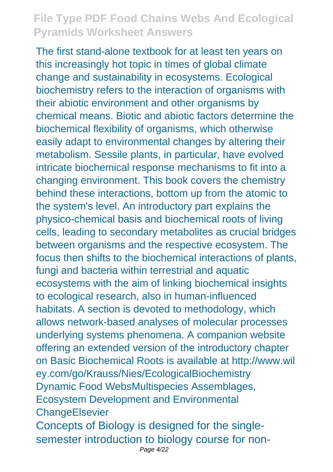The first stand-alone textbook for at least ten years on this increasingly hot topic in times of global climate change and sustainability in ecosystems. Ecological biochemistry refers to the interaction of organisms with their abiotic environment and other organisms by chemical means. Biotic and abiotic factors determine the biochemical flexibility of organisms, which otherwise easily adapt to environmental changes by altering their metabolism. Sessile plants, in particular, have evolved intricate biochemical response mechanisms to fit into a changing environment. This book covers the chemistry behind these interactions, bottom up from the atomic to the system's level. An introductory part explains the physico-chemical basis and biochemical roots of living cells, leading to secondary metabolites as crucial bridges between organisms and the respective ecosystem. The focus then shifts to the biochemical interactions of plants, fungi and bacteria within terrestrial and aquatic ecosystems with the aim of linking biochemical insights to ecological research, also in human-influenced habitats. A section is devoted to methodology, which allows network-based analyses of molecular processes underlying systems phenomena. A companion website offering an extended version of the introductory chapter on Basic Biochemical Roots is available at http://www.wil ey.com/go/Krauss/Nies/EcologicalBiochemistry Dynamic Food WebsMultispecies Assemblages, Ecosystem Development and Environmental **ChangeElsevier** Concepts of Biology is designed for the singlesemester introduction to biology course for non-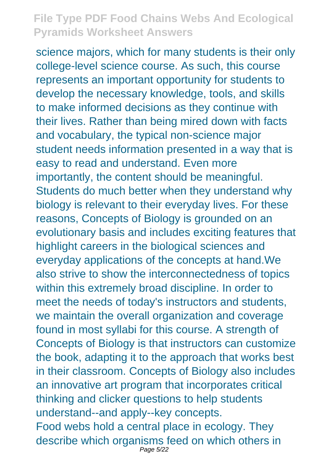science majors, which for many students is their only college-level science course. As such, this course represents an important opportunity for students to develop the necessary knowledge, tools, and skills to make informed decisions as they continue with their lives. Rather than being mired down with facts and vocabulary, the typical non-science major student needs information presented in a way that is easy to read and understand. Even more importantly, the content should be meaningful. Students do much better when they understand why biology is relevant to their everyday lives. For these reasons, Concepts of Biology is grounded on an evolutionary basis and includes exciting features that highlight careers in the biological sciences and everyday applications of the concepts at hand.We also strive to show the interconnectedness of topics within this extremely broad discipline. In order to meet the needs of today's instructors and students, we maintain the overall organization and coverage found in most syllabi for this course. A strength of Concepts of Biology is that instructors can customize the book, adapting it to the approach that works best in their classroom. Concepts of Biology also includes an innovative art program that incorporates critical thinking and clicker questions to help students understand--and apply--key concepts. Food webs hold a central place in ecology. They describe which organisms feed on which others in Page 5/22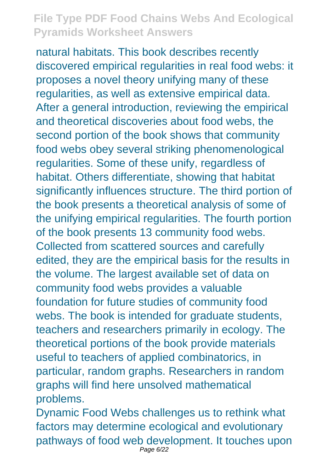natural habitats. This book describes recently discovered empirical regularities in real food webs: it proposes a novel theory unifying many of these regularities, as well as extensive empirical data. After a general introduction, reviewing the empirical and theoretical discoveries about food webs, the second portion of the book shows that community food webs obey several striking phenomenological regularities. Some of these unify, regardless of habitat. Others differentiate, showing that habitat significantly influences structure. The third portion of the book presents a theoretical analysis of some of the unifying empirical regularities. The fourth portion of the book presents 13 community food webs. Collected from scattered sources and carefully edited, they are the empirical basis for the results in the volume. The largest available set of data on community food webs provides a valuable foundation for future studies of community food webs. The book is intended for graduate students, teachers and researchers primarily in ecology. The theoretical portions of the book provide materials useful to teachers of applied combinatorics, in particular, random graphs. Researchers in random graphs will find here unsolved mathematical problems.

Dynamic Food Webs challenges us to rethink what factors may determine ecological and evolutionary pathways of food web development. It touches upon Page 6/22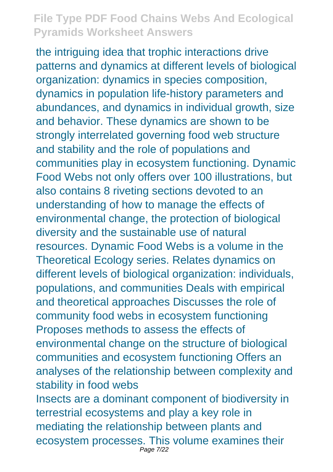the intriguing idea that trophic interactions drive patterns and dynamics at different levels of biological organization: dynamics in species composition, dynamics in population life-history parameters and abundances, and dynamics in individual growth, size and behavior. These dynamics are shown to be strongly interrelated governing food web structure and stability and the role of populations and communities play in ecosystem functioning. Dynamic Food Webs not only offers over 100 illustrations, but also contains 8 riveting sections devoted to an understanding of how to manage the effects of environmental change, the protection of biological diversity and the sustainable use of natural resources. Dynamic Food Webs is a volume in the Theoretical Ecology series. Relates dynamics on different levels of biological organization: individuals, populations, and communities Deals with empirical and theoretical approaches Discusses the role of community food webs in ecosystem functioning Proposes methods to assess the effects of environmental change on the structure of biological communities and ecosystem functioning Offers an analyses of the relationship between complexity and stability in food webs Insects are a dominant component of biodiversity in terrestrial ecosystems and play a key role in mediating the relationship between plants and ecosystem processes. This volume examines their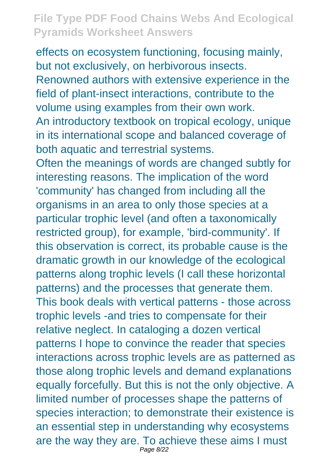effects on ecosystem functioning, focusing mainly, but not exclusively, on herbivorous insects. Renowned authors with extensive experience in the field of plant-insect interactions, contribute to the volume using examples from their own work. An introductory textbook on tropical ecology, unique in its international scope and balanced coverage of both aquatic and terrestrial systems.

Often the meanings of words are changed subtly for interesting reasons. The implication of the word 'community' has changed from including all the organisms in an area to only those species at a particular trophic level (and often a taxonomically restricted group), for example, 'bird-community'. If this observation is correct, its probable cause is the dramatic growth in our knowledge of the ecological patterns along trophic levels (I call these horizontal patterns) and the processes that generate them. This book deals with vertical patterns - those across trophic levels -and tries to compensate for their relative neglect. In cataloging a dozen vertical patterns I hope to convince the reader that species interactions across trophic levels are as patterned as those along trophic levels and demand explanations equally forcefully. But this is not the only objective. A limited number of processes shape the patterns of species interaction; to demonstrate their existence is an essential step in understanding why ecosystems are the way they are. To achieve these aims I must Page 8/22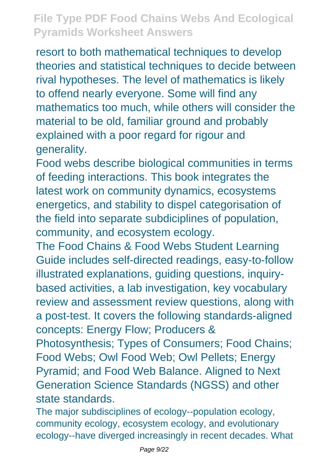resort to both mathematical techniques to develop theories and statistical techniques to decide between rival hypotheses. The level of mathematics is likely to offend nearly everyone. Some will find any mathematics too much, while others will consider the material to be old, familiar ground and probably explained with a poor regard for rigour and generality.

Food webs describe biological communities in terms of feeding interactions. This book integrates the latest work on community dynamics, ecosystems energetics, and stability to dispel categorisation of the field into separate subdiciplines of population, community, and ecosystem ecology.

The Food Chains & Food Webs Student Learning Guide includes self-directed readings, easy-to-follow illustrated explanations, guiding questions, inquirybased activities, a lab investigation, key vocabulary review and assessment review questions, along with a post-test. It covers the following standards-aligned concepts: Energy Flow; Producers &

Photosynthesis; Types of Consumers; Food Chains; Food Webs; Owl Food Web; Owl Pellets; Energy Pyramid; and Food Web Balance. Aligned to Next Generation Science Standards (NGSS) and other state standards.

The major subdisciplines of ecology--population ecology, community ecology, ecosystem ecology, and evolutionary ecology--have diverged increasingly in recent decades. What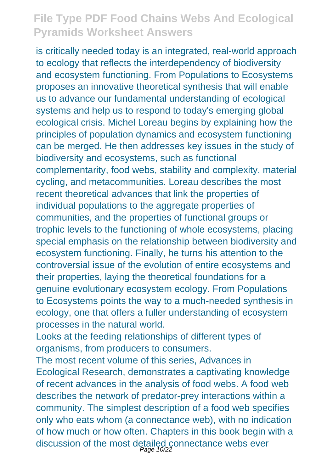is critically needed today is an integrated, real-world approach to ecology that reflects the interdependency of biodiversity and ecosystem functioning. From Populations to Ecosystems proposes an innovative theoretical synthesis that will enable us to advance our fundamental understanding of ecological systems and help us to respond to today's emerging global ecological crisis. Michel Loreau begins by explaining how the principles of population dynamics and ecosystem functioning can be merged. He then addresses key issues in the study of biodiversity and ecosystems, such as functional complementarity, food webs, stability and complexity, material cycling, and metacommunities. Loreau describes the most recent theoretical advances that link the properties of individual populations to the aggregate properties of communities, and the properties of functional groups or trophic levels to the functioning of whole ecosystems, placing special emphasis on the relationship between biodiversity and ecosystem functioning. Finally, he turns his attention to the controversial issue of the evolution of entire ecosystems and their properties, laying the theoretical foundations for a genuine evolutionary ecosystem ecology. From Populations to Ecosystems points the way to a much-needed synthesis in ecology, one that offers a fuller understanding of ecosystem processes in the natural world.

Looks at the feeding relationships of different types of organisms, from producers to consumers.

The most recent volume of this series, Advances in Ecological Research, demonstrates a captivating knowledge of recent advances in the analysis of food webs. A food web describes the network of predator-prey interactions within a community. The simplest description of a food web specifies only who eats whom (a connectance web), with no indication of how much or how often. Chapters in this book begin with a discussion of the most detailed connectance webs ever Page 10/22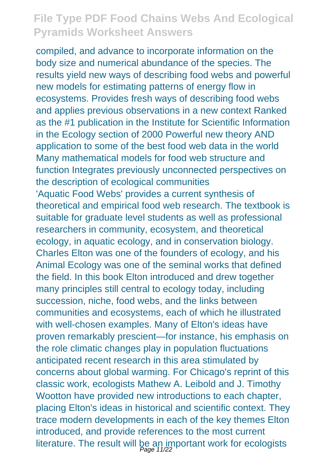compiled, and advance to incorporate information on the body size and numerical abundance of the species. The results yield new ways of describing food webs and powerful new models for estimating patterns of energy flow in ecosystems. Provides fresh ways of describing food webs and applies previous observations in a new context Ranked as the #1 publication in the Institute for Scientific Information in the Ecology section of 2000 Powerful new theory AND application to some of the best food web data in the world Many mathematical models for food web structure and function Integrates previously unconnected perspectives on the description of ecological communities 'Aquatic Food Webs' provides a current synthesis of theoretical and empirical food web research. The textbook is suitable for graduate level students as well as professional researchers in community, ecosystem, and theoretical ecology, in aquatic ecology, and in conservation biology. Charles Elton was one of the founders of ecology, and his Animal Ecology was one of the seminal works that defined the field. In this book Elton introduced and drew together many principles still central to ecology today, including succession, niche, food webs, and the links between communities and ecosystems, each of which he illustrated with well-chosen examples. Many of Elton's ideas have proven remarkably prescient—for instance, his emphasis on the role climatic changes play in population fluctuations anticipated recent research in this area stimulated by concerns about global warming. For Chicago's reprint of this classic work, ecologists Mathew A. Leibold and J. Timothy Wootton have provided new introductions to each chapter, placing Elton's ideas in historical and scientific context. They trace modern developments in each of the key themes Elton introduced, and provide references to the most current literature. The result will be an important work for ecologists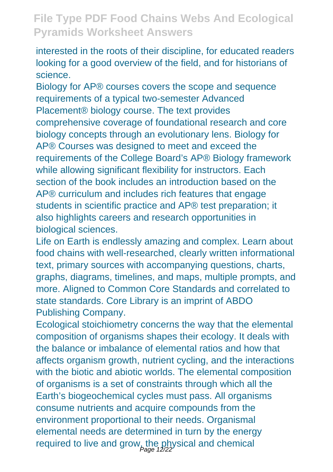interested in the roots of their discipline, for educated readers looking for a good overview of the field, and for historians of science.

Biology for AP® courses covers the scope and sequence requirements of a typical two-semester Advanced Placement® biology course. The text provides comprehensive coverage of foundational research and core biology concepts through an evolutionary lens. Biology for AP® Courses was designed to meet and exceed the requirements of the College Board's AP® Biology framework while allowing significant flexibility for instructors. Each section of the book includes an introduction based on the AP® curriculum and includes rich features that engage students in scientific practice and AP® test preparation; it also highlights careers and research opportunities in biological sciences.

Life on Earth is endlessly amazing and complex. Learn about food chains with well-researched, clearly written informational text, primary sources with accompanying questions, charts, graphs, diagrams, timelines, and maps, multiple prompts, and more. Aligned to Common Core Standards and correlated to state standards. Core Library is an imprint of ABDO Publishing Company.

Ecological stoichiometry concerns the way that the elemental composition of organisms shapes their ecology. It deals with the balance or imbalance of elemental ratios and how that affects organism growth, nutrient cycling, and the interactions with the biotic and abiotic worlds. The elemental composition of organisms is a set of constraints through which all the Earth's biogeochemical cycles must pass. All organisms consume nutrients and acquire compounds from the environment proportional to their needs. Organismal elemental needs are determined in turn by the energy required to live and grow, the physical and chemical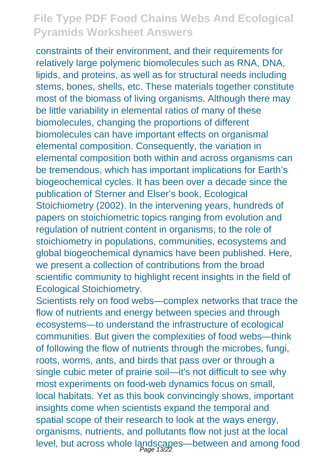constraints of their environment, and their requirements for relatively large polymeric biomolecules such as RNA, DNA, lipids, and proteins, as well as for structural needs including stems, bones, shells, etc. These materials together constitute most of the biomass of living organisms. Although there may be little variability in elemental ratios of many of these biomolecules, changing the proportions of different biomolecules can have important effects on organismal elemental composition. Consequently, the variation in elemental composition both within and across organisms can be tremendous, which has important implications for Earth's biogeochemical cycles. It has been over a decade since the publication of Sterner and Elser's book, Ecological Stoichiometry (2002). In the intervening years, hundreds of papers on stoichiometric topics ranging from evolution and regulation of nutrient content in organisms, to the role of stoichiometry in populations, communities, ecosystems and global biogeochemical dynamics have been published. Here, we present a collection of contributions from the broad scientific community to highlight recent insights in the field of Ecological Stoichiometry.

Scientists rely on food webs—complex networks that trace the flow of nutrients and energy between species and through ecosystems—to understand the infrastructure of ecological communities. But given the complexities of food webs—think of following the flow of nutrients through the microbes, fungi, roots, worms, ants, and birds that pass over or through a single cubic meter of prairie soil—it's not difficult to see why most experiments on food-web dynamics focus on small, local habitats. Yet as this book convincingly shows, important insights come when scientists expand the temporal and spatial scope of their research to look at the ways energy, organisms, nutrients, and pollutants flow not just at the local level, but across whole landscapes—between and among food Page 13/22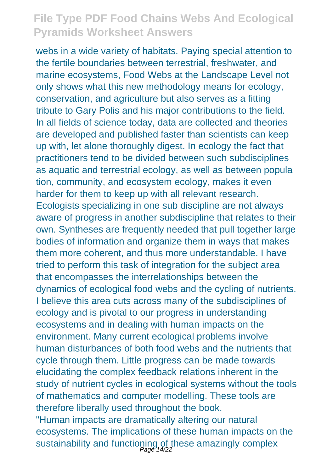webs in a wide variety of habitats. Paying special attention to the fertile boundaries between terrestrial, freshwater, and marine ecosystems, Food Webs at the Landscape Level not only shows what this new methodology means for ecology, conservation, and agriculture but also serves as a fitting tribute to Gary Polis and his major contributions to the field. In all fields of science today, data are collected and theories are developed and published faster than scientists can keep up with, let alone thoroughly digest. In ecology the fact that practitioners tend to be divided between such subdisciplines as aquatic and terrestrial ecology, as well as between popula tion, community, and ecosystem ecology, makes it even harder for them to keep up with all relevant research. Ecologists specializing in one sub discipline are not always aware of progress in another subdiscipline that relates to their own. Syntheses are frequently needed that pull together large bodies of information and organize them in ways that makes them more coherent, and thus more understandable. I have tried to perform this task of integration for the subject area that encompasses the interrelationships between the dynamics of ecological food webs and the cycling of nutrients. I believe this area cuts across many of the subdisciplines of ecology and is pivotal to our progress in understanding ecosystems and in dealing with human impacts on the environment. Many current ecological problems involve human disturbances of both food webs and the nutrients that cycle through them. Little progress can be made towards elucidating the complex feedback relations inherent in the study of nutrient cycles in ecological systems without the tools of mathematics and computer modelling. These tools are therefore liberally used throughout the book. "Human impacts are dramatically altering our natural ecosystems. The implications of these human impacts on the sustainability and functioning of these amazingly complex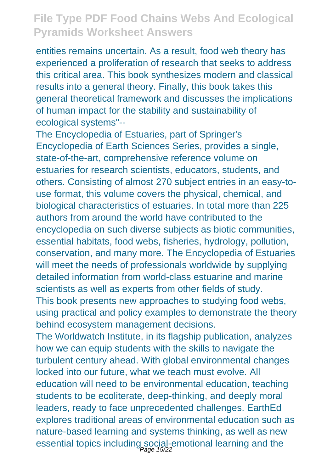entities remains uncertain. As a result, food web theory has experienced a proliferation of research that seeks to address this critical area. This book synthesizes modern and classical results into a general theory. Finally, this book takes this general theoretical framework and discusses the implications of human impact for the stability and sustainability of ecological systems"--

The Encyclopedia of Estuaries, part of Springer's Encyclopedia of Earth Sciences Series, provides a single, state-of-the-art, comprehensive reference volume on estuaries for research scientists, educators, students, and others. Consisting of almost 270 subject entries in an easy-touse format, this volume covers the physical, chemical, and biological characteristics of estuaries. In total more than 225 authors from around the world have contributed to the encyclopedia on such diverse subjects as biotic communities, essential habitats, food webs, fisheries, hydrology, pollution, conservation, and many more. The Encyclopedia of Estuaries will meet the needs of professionals worldwide by supplying detailed information from world-class estuarine and marine scientists as well as experts from other fields of study. This book presents new approaches to studying food webs, using practical and policy examples to demonstrate the theory behind ecosystem management decisions.

The Worldwatch Institute, in its flagship publication, analyzes how we can equip students with the skills to navigate the turbulent century ahead. With global environmental changes locked into our future, what we teach must evolve. All education will need to be environmental education, teaching students to be ecoliterate, deep-thinking, and deeply moral leaders, ready to face unprecedented challenges. EarthEd explores traditional areas of environmental education such as nature-based learning and systems thinking, as well as new essential topics including social-emotional learning and the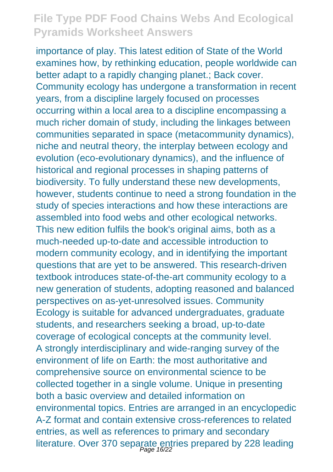importance of play. This latest edition of State of the World examines how, by rethinking education, people worldwide can better adapt to a rapidly changing planet.; Back cover. Community ecology has undergone a transformation in recent years, from a discipline largely focused on processes occurring within a local area to a discipline encompassing a much richer domain of study, including the linkages between communities separated in space (metacommunity dynamics), niche and neutral theory, the interplay between ecology and evolution (eco-evolutionary dynamics), and the influence of historical and regional processes in shaping patterns of biodiversity. To fully understand these new developments, however, students continue to need a strong foundation in the study of species interactions and how these interactions are assembled into food webs and other ecological networks. This new edition fulfils the book's original aims, both as a much-needed up-to-date and accessible introduction to modern community ecology, and in identifying the important questions that are yet to be answered. This research-driven textbook introduces state-of-the-art community ecology to a new generation of students, adopting reasoned and balanced perspectives on as-yet-unresolved issues. Community Ecology is suitable for advanced undergraduates, graduate students, and researchers seeking a broad, up-to-date coverage of ecological concepts at the community level. A strongly interdisciplinary and wide-ranging survey of the environment of life on Earth: the most authoritative and comprehensive source on environmental science to be collected together in a single volume. Unique in presenting both a basic overview and detailed information on environmental topics. Entries are arranged in an encyclopedic A-Z format and contain extensive cross-references to related entries, as well as references to primary and secondary literature. Over 370 separate entries prepared by 228 leading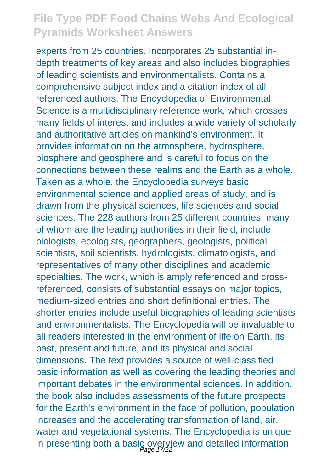experts from 25 countries. Incorporates 25 substantial indepth treatments of key areas and also includes biographies of leading scientists and environmentalists. Contains a comprehensive subject index and a citation index of all referenced authors. The Encyclopedia of Environmental Science is a multidisciplinary reference work, which crosses many fields of interest and includes a wide variety of scholarly and authoritative articles on mankind's environment. It provides information on the atmosphere, hydrosphere, biosphere and geosphere and is careful to focus on the connections between these realms and the Earth as a whole. Taken as a whole, the Encyclopedia surveys basic environmental science and applied areas of study, and is drawn from the physical sciences, life sciences and social sciences. The 228 authors from 25 different countries, many of whom are the leading authorities in their field, include biologists, ecologists, geographers, geologists, political scientists, soil scientists, hydrologists, climatologists, and representatives of many other disciplines and academic specialties. The work, which is amply referenced and crossreferenced, consists of substantial essays on major topics, medium-sized entries and short definitional entries. The shorter entries include useful biographies of leading scientists and environmentalists. The Encyclopedia will be invaluable to all readers interested in the environment of life on Earth, its past, present and future, and its physical and social dimensions. The text provides a source of well-classified basic information as well as covering the leading theories and important debates in the environmental sciences. In addition, the book also includes assessments of the future prospects for the Earth's environment in the face of pollution, population increases and the accelerating transformation of land, air, water and vegetational systems. The Encyclopedia is unique in presenting both a basic overview and detailed information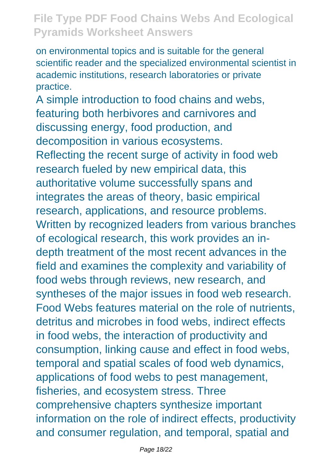on environmental topics and is suitable for the general scientific reader and the specialized environmental scientist in academic institutions, research laboratories or private practice.

A simple introduction to food chains and webs, featuring both herbivores and carnivores and discussing energy, food production, and decomposition in various ecosystems. Reflecting the recent surge of activity in food web research fueled by new empirical data, this authoritative volume successfully spans and integrates the areas of theory, basic empirical research, applications, and resource problems. Written by recognized leaders from various branches of ecological research, this work provides an indepth treatment of the most recent advances in the field and examines the complexity and variability of food webs through reviews, new research, and syntheses of the major issues in food web research. Food Webs features material on the role of nutrients, detritus and microbes in food webs, indirect effects in food webs, the interaction of productivity and consumption, linking cause and effect in food webs, temporal and spatial scales of food web dynamics, applications of food webs to pest management, fisheries, and ecosystem stress. Three comprehensive chapters synthesize important information on the role of indirect effects, productivity and consumer regulation, and temporal, spatial and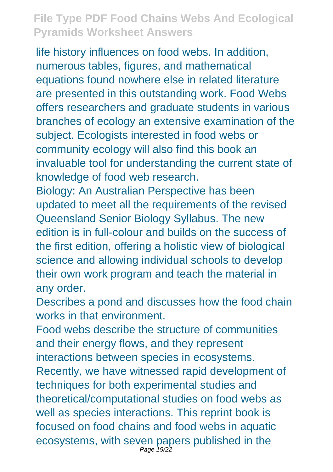life history influences on food webs. In addition, numerous tables, figures, and mathematical equations found nowhere else in related literature are presented in this outstanding work. Food Webs offers researchers and graduate students in various branches of ecology an extensive examination of the subject. Ecologists interested in food webs or community ecology will also find this book an invaluable tool for understanding the current state of knowledge of food web research.

Biology: An Australian Perspective has been updated to meet all the requirements of the revised Queensland Senior Biology Syllabus. The new edition is in full-colour and builds on the success of the first edition, offering a holistic view of biological science and allowing individual schools to develop their own work program and teach the material in any order.

Describes a pond and discusses how the food chain works in that environment.

Food webs describe the structure of communities and their energy flows, and they represent interactions between species in ecosystems. Recently, we have witnessed rapid development of techniques for both experimental studies and theoretical/computational studies on food webs as well as species interactions. This reprint book is focused on food chains and food webs in aquatic ecosystems, with seven papers published in the Page 19/22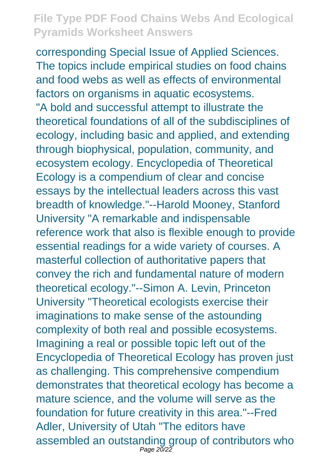corresponding Special Issue of Applied Sciences. The topics include empirical studies on food chains and food webs as well as effects of environmental factors on organisms in aquatic ecosystems. "A bold and successful attempt to illustrate the theoretical foundations of all of the subdisciplines of ecology, including basic and applied, and extending through biophysical, population, community, and ecosystem ecology. Encyclopedia of Theoretical Ecology is a compendium of clear and concise essays by the intellectual leaders across this vast breadth of knowledge."--Harold Mooney, Stanford University "A remarkable and indispensable reference work that also is flexible enough to provide essential readings for a wide variety of courses. A masterful collection of authoritative papers that convey the rich and fundamental nature of modern theoretical ecology."--Simon A. Levin, Princeton University "Theoretical ecologists exercise their imaginations to make sense of the astounding complexity of both real and possible ecosystems. Imagining a real or possible topic left out of the Encyclopedia of Theoretical Ecology has proven just as challenging. This comprehensive compendium demonstrates that theoretical ecology has become a mature science, and the volume will serve as the foundation for future creativity in this area."--Fred Adler, University of Utah "The editors have assembled an outstanding group of contributors who Page 20/22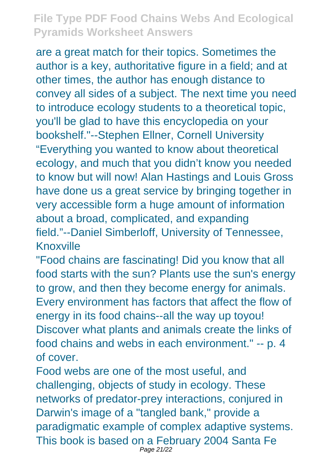are a great match for their topics. Sometimes the author is a key, authoritative figure in a field; and at other times, the author has enough distance to convey all sides of a subject. The next time you need to introduce ecology students to a theoretical topic, you'll be glad to have this encyclopedia on your bookshelf."--Stephen Ellner, Cornell University "Everything you wanted to know about theoretical ecology, and much that you didn't know you needed to know but will now! Alan Hastings and Louis Gross have done us a great service by bringing together in very accessible form a huge amount of information about a broad, complicated, and expanding field."--Daniel Simberloff, University of Tennessee, Knoxville

"Food chains are fascinating! Did you know that all food starts with the sun? Plants use the sun's energy to grow, and then they become energy for animals. Every environment has factors that affect the flow of energy in its food chains--all the way up toyou! Discover what plants and animals create the links of food chains and webs in each environment." -- p. 4 of cover.

Food webs are one of the most useful, and challenging, objects of study in ecology. These networks of predator-prey interactions, conjured in Darwin's image of a "tangled bank," provide a paradigmatic example of complex adaptive systems. This book is based on a February 2004 Santa Fe Page 21/22